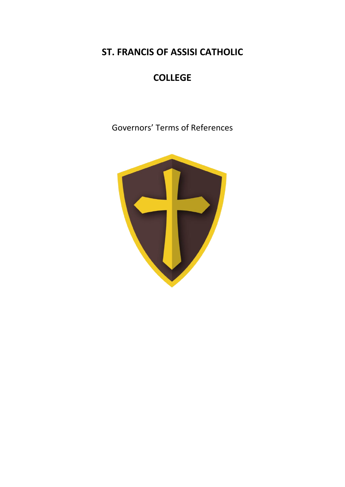**ST. FRANCIS OF ASSISI CATHOLIC** 

# **COLLEGE**

Governors' Terms of References

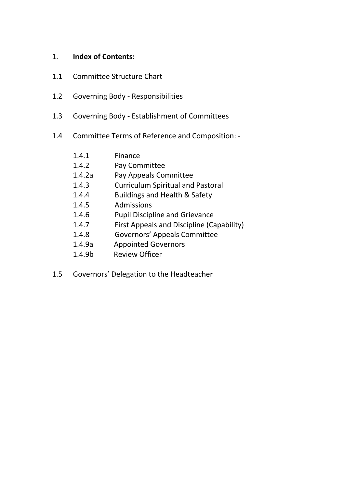# 1. **Index of Contents:**

- 1.1 Committee Structure Chart
- 1.2 Governing Body Responsibilities
- 1.3 Governing Body Establishment of Committees
- 1.4 Committee Terms of Reference and Composition: -

| 1.4.1              | Finance                                   |
|--------------------|-------------------------------------------|
| 1.4.2              | Pay Committee                             |
| 1.4.2a             | Pay Appeals Committee                     |
| 1.4.3              | <b>Curriculum Spiritual and Pastoral</b>  |
| 1.4.4              | <b>Buildings and Health &amp; Safety</b>  |
| 1.4.5              | Admissions                                |
| 1.4.6              | <b>Pupil Discipline and Grievance</b>     |
| 1.4.7              | First Appeals and Discipline (Capability) |
| 1.4.8              | <b>Governors' Appeals Committee</b>       |
| 1.4.9a             | <b>Appointed Governors</b>                |
| 1.4.9 <sub>b</sub> | <b>Review Officer</b>                     |

1.5 Governors' Delegation to the Headteacher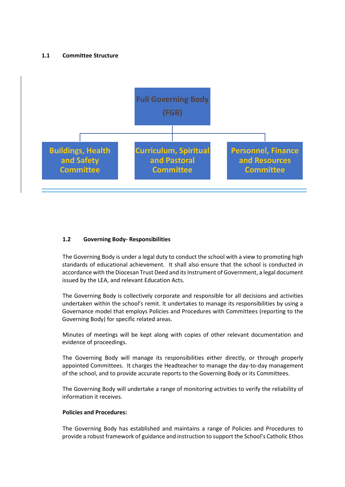#### **1.1 Committee Structure**



#### **1.2 Governing Body- Responsibilities**

The Governing Body is under a legal duty to conduct the school with a view to promoting high standards of educational achievement. It shall also ensure that the school is conducted in accordance with the Diocesan Trust Deed and its Instrument of Government, a legal document issued by the LEA, and relevant Education Acts.

The Governing Body is collectively corporate and responsible for all decisions and activities undertaken within the school's remit. It undertakes to manage its responsibilities by using a Governance model that employs Policies and Procedures with Committees (reporting to the Governing Body) for specific related areas.

Minutes of meetings will be kept along with copies of other relevant documentation and evidence of proceedings.

The Governing Body will manage its responsibilities either directly, or through properly appointed Committees. It charges the Headteacher to manage the day-to-day management of the school, and to provide accurate reports to the Governing Body or its Committees.

The Governing Body will undertake a range of monitoring activities to verify the reliability of information it receives.

#### **Policies and Procedures:**

The Governing Body has established and maintains a range of Policies and Procedures to provide a robust framework of guidance and instruction to support the School's Catholic Ethos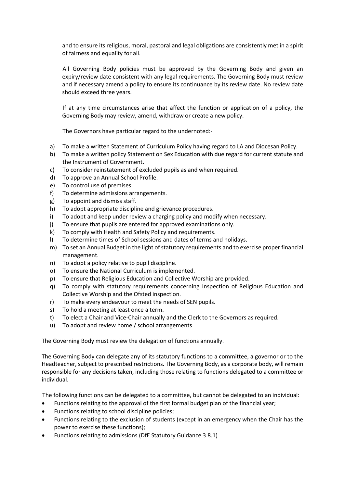and to ensure its religious, moral, pastoral and legal obligations are consistently met in a spirit of fairness and equality for all.

All Governing Body policies must be approved by the Governing Body and given an expiry/review date consistent with any legal requirements. The Governing Body must review and if necessary amend a policy to ensure its continuance by its review date. No review date should exceed three years.

If at any time circumstances arise that affect the function or application of a policy, the Governing Body may review, amend, withdraw or create a new policy.

The Governors have particular regard to the undernoted:-

- a) To make a written Statement of Curriculum Policy having regard to LA and Diocesan Policy.
- b) To make a written policy Statement on Sex Education with due regard for current statute and the Instrument of Government.
- c) To consider reinstatement of excluded pupils as and when required.
- d) To approve an Annual School Profile.
- e) To control use of premises.
- f) To determine admissions arrangements.
- g) To appoint and dismiss staff.
- h) To adopt appropriate discipline and grievance procedures.
- i) To adopt and keep under review a charging policy and modify when necessary.
- j) To ensure that pupils are entered for approved examinations only.
- k) To comply with Health and Safety Policy and requirements.
- l) To determine times of School sessions and dates of terms and holidays.
- m) To set an Annual Budget in the light of statutory requirements and to exercise proper financial management.
- n) To adopt a policy relative to pupil discipline.
- o) To ensure the National Curriculum is implemented.
- p) To ensure that Religious Education and Collective Worship are provided.
- q) To comply with statutory requirements concerning Inspection of Religious Education and Collective Worship and the Ofsted inspection.
- r) To make every endeavour to meet the needs of SEN pupils.
- s) To hold a meeting at least once a term.
- t) To elect a Chair and Vice-Chair annually and the Clerk to the Governors as required.
- u) To adopt and review home / school arrangements

The Governing Body must review the delegation of functions annually.

The Governing Body can delegate any of its statutory functions to a committee, a governor or to the Headteacher, subject to prescribed restrictions. The Governing Body, as a corporate body, will remain responsible for any decisions taken, including those relating to functions delegated to a committee or individual.

The following functions can be delegated to a committee, but cannot be delegated to an individual:

- Functions relating to the approval of the first formal budget plan of the financial year;
- Functions relating to school discipline policies;
- Functions relating to the exclusion of students (except in an emergency when the Chair has the power to exercise these functions);
- Functions relating to admissions (DfE Statutory Guidance 3.8.1)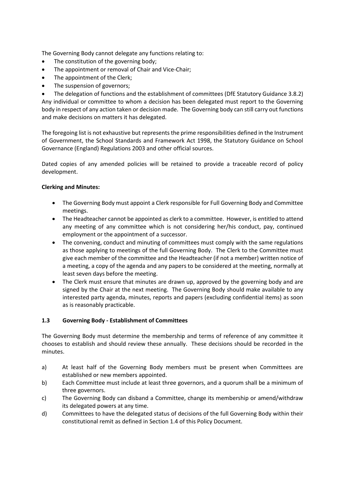The Governing Body cannot delegate any functions relating to:

- The constitution of the governing body;
- The appointment or removal of Chair and Vice-Chair;
- The appointment of the Clerk;
- The suspension of governors;

• The delegation of functions and the establishment of committees (DfE Statutory Guidance 3.8.2) Any individual or committee to whom a decision has been delegated must report to the Governing body in respect of any action taken or decision made. The Governing body can still carry out functions and make decisions on matters it has delegated.

The foregoing list is not exhaustive but represents the prime responsibilities defined in the Instrument of Government, the School Standards and Framework Act 1998, the Statutory Guidance on School Governance (England) Regulations 2003 and other official sources.

Dated copies of any amended policies will be retained to provide a traceable record of policy development.

#### **Clerking and Minutes:**

- The Governing Body must appoint a Clerk responsible for Full Governing Body and Committee meetings.
- The Headteacher cannot be appointed as clerk to a committee. However, is entitled to attend any meeting of any committee which is not considering her/his conduct, pay, continued employment or the appointment of a successor.
- The convening, conduct and minuting of committees must comply with the same regulations as those applying to meetings of the full Governing Body. The Clerk to the Committee must give each member of the committee and the Headteacher (if not a member) written notice of a meeting, a copy of the agenda and any papers to be considered at the meeting, normally at least seven days before the meeting.
- The Clerk must ensure that minutes are drawn up, approved by the governing body and are signed by the Chair at the next meeting. The Governing Body should make available to any interested party agenda, minutes, reports and papers (excluding confidential items) as soon as is reasonably practicable.

#### **1.3 Governing Body - Establishment of Committees**

The Governing Body must determine the membership and terms of reference of any committee it chooses to establish and should review these annually. These decisions should be recorded in the minutes.

- a) At least half of the Governing Body members must be present when Committees are established or new members appointed.
- b) Each Committee must include at least three governors, and a quorum shall be a minimum of three governors.
- c) The Governing Body can disband a Committee, change its membership or amend/withdraw its delegated powers at any time.
- d) Committees to have the delegated status of decisions of the full Governing Body within their constitutional remit as defined in Section 1.4 of this Policy Document.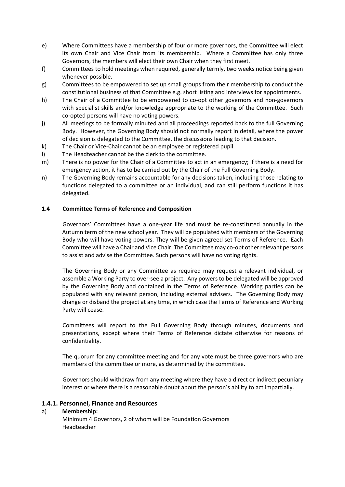- e) Where Committees have a membership of four or more governors, the Committee will elect its own Chair and Vice Chair from its membership. Where a Committee has only three Governors, the members will elect their own Chair when they first meet.
- f) Committees to hold meetings when required, generally termly, two weeks notice being given whenever possible.
- g) Committees to be empowered to set up small groups from their membership to conduct the constitutional business of that Committee e.g. short listing and interviews for appointments.
- h) The Chair of a Committee to be empowered to co-opt other governors and non-governors with specialist skills and/or knowledge appropriate to the working of the Committee. Such co-opted persons will have no voting powers.
- j) All meetings to be formally minuted and all proceedings reported back to the full Governing Body. However, the Governing Body should not normally report in detail, where the power of decision is delegated to the Committee, the discussions leading to that decision.
- k) The Chair or Vice-Chair cannot be an employee or registered pupil.
- l) The Headteacher cannot be the clerk to the committee.
- m) There is no power for the Chair of a Committee to act in an emergency; if there is a need for emergency action, it has to be carried out by the Chair of the Full Governing Body.
- n) The Governing Body remains accountable for any decisions taken, including those relating to functions delegated to a committee or an individual, and can still perform functions it has delegated.

#### **1.4 Committee Terms of Reference and Composition**

Governors' Committees have a one-year life and must be re-constituted annually in the Autumn term of the new school year. They will be populated with members of the Governing Body who will have voting powers. They will be given agreed set Terms of Reference. Each Committee will have a Chair and Vice Chair. The Committee may co-opt other relevant persons to assist and advise the Committee. Such persons will have no voting rights.

The Governing Body or any Committee as required may request a relevant individual, or assemble a Working Party to over-see a project. Any powers to be delegated will be approved by the Governing Body and contained in the Terms of Reference. Working parties can be populated with any relevant person, including external advisers. The Governing Body may change or disband the project at any time, in which case the Terms of Reference and Working Party will cease.

Committees will report to the Full Governing Body through minutes, documents and presentations, except where their Terms of Reference dictate otherwise for reasons of confidentiality.

The quorum for any committee meeting and for any vote must be three governors who are members of the committee or more, as determined by the committee.

Governors should withdraw from any meeting where they have a direct or indirect pecuniary interest or where there is a reasonable doubt about the person's ability to act impartially.

# **1.4.1. Personnel, Finance and Resources**

#### a) **Membership:**

Minimum 4 Governors, 2 of whom will be Foundation Governors Headteacher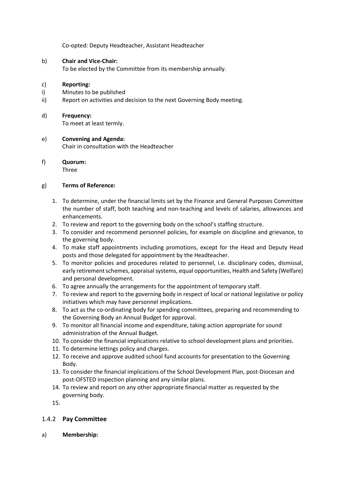Co-opted: Deputy Headteacher, Assistant Headteacher

# b) **Chair and Vice-Chair:**

To be elected by the Committee from its membership annually.

#### c) **Reporting:**

- i) Minutes to be published
- ii) Report on activities and decision to the next Governing Body meeting.

#### d) **Frequency:**

To meet at least termly.

# e) **Convening and Agenda:** Chair in consultation with the Headteacher

# f) **Quorum:**

Three

#### g) **Terms of Reference:**

- 1. To determine, under the financial limits set by the Finance and General Purposes Committee the number of staff, both teaching and non-teaching and levels of salaries, allowances and enhancements.
- 2. To review and report to the governing body on the school's staffing structure.
- 3. To consider and recommend personnel policies, for example on discipline and grievance, to the governing body.
- 4. To make staff appointments including promotions, except for the Head and Deputy Head posts and those delegated for appointment by the Headteacher.
- 5. To monitor policies and procedures related to personnel, i.e. disciplinary codes, dismissal, early retirement schemes, appraisal systems, equal opportunities, Health and Safety (Welfare) and personal development.
- 6. To agree annually the arrangements for the appointment of temporary staff.
- 7. To review and report to the governing body in respect of local or national legislative or policy initiatives which may have personnel implications.
- 8. To act as the co-ordinating body for spending committees, preparing and recommending to the Governing Body an Annual Budget for approval.
- 9. To monitor all financial income and expenditure, taking action appropriate for sound administration of the Annual Budget.
- 10. To consider the financial implications relative to school development plans and priorities.
- 11. To determine lettings policy and charges.
- 12. To receive and approve audited school fund accounts for presentation to the Governing Body.
- 13. To consider the financial implications of the School Development Plan, post-Diocesan and post-OFSTED inspection planning and any similar plans.
- 14. To review and report on any other appropriate financial matter as requested by the governing body.

15.

# 1.4.2 **Pay Committee**

a) **Membership:**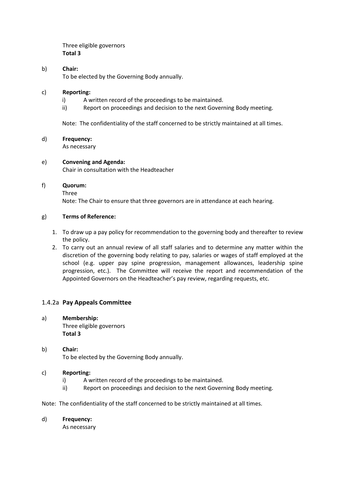Three eligible governors **Total 3**

#### b) **Chair:**

To be elected by the Governing Body annually.

#### c) **Reporting:**

- i) A written record of the proceedings to be maintained.
- ii) Report on proceedings and decision to the next Governing Body meeting.

Note: The confidentiality of the staff concerned to be strictly maintained at all times.

#### d) **Frequency:**

As necessary

#### e) **Convening and Agenda:**

Chair in consultation with the Headteacher

#### f) **Quorum:**

Three

Note: The Chair to ensure that three governors are in attendance at each hearing.

#### g) **Terms of Reference:**

- 1. To draw up a pay policy for recommendation to the governing body and thereafter to review the policy.
- 2. To carry out an annual review of all staff salaries and to determine any matter within the discretion of the governing body relating to pay, salaries or wages of staff employed at the school (e.g. upper pay spine progression, management allowances, leadership spine progression, etc.). The Committee will receive the report and recommendation of the Appointed Governors on the Headteacher's pay review, regarding requests, etc.

# 1.4.2a **Pay Appeals Committee**

a) **Membership:** Three eligible governors **Total 3** 

# b) **Chair:** To be elected by the Governing Body annually.

#### c) **Reporting:**

- i) A written record of the proceedings to be maintained.
- ii) Report on proceedings and decision to the next Governing Body meeting.
- Note: The confidentiality of the staff concerned to be strictly maintained at all times.

#### d) **Frequency:**

As necessary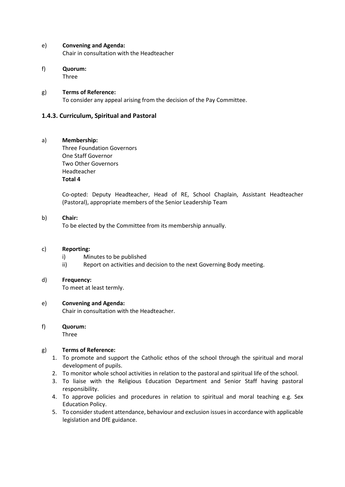#### e) **Convening and Agenda:**

Chair in consultation with the Headteacher

f) **Quorum:** Three

g) **Terms of Reference:**

To consider any appeal arising from the decision of the Pay Committee.

# **1.4.3. Curriculum, Spiritual and Pastoral**

# a) **Membership:**

Three Foundation Governors One Staff Governor Two Other Governors Headteacher **Total 4**

Co-opted: Deputy Headteacher, Head of RE, School Chaplain, Assistant Headteacher (Pastoral), appropriate members of the Senior Leadership Team

# b) **Chair:**

To be elected by the Committee from its membership annually.

#### c) **Reporting:**

- i) Minutes to be published
- ii) Report on activities and decision to the next Governing Body meeting.

#### d) **Frequency:**

To meet at least termly.

# e) **Convening and Agenda:**

Chair in consultation with the Headteacher.

# f) **Quorum:**

Three

# g) **Terms of Reference:**

- 1. To promote and support the Catholic ethos of the school through the spiritual and moral development of pupils.
- 2. To monitor whole school activities in relation to the pastoral and spiritual life of the school.
- 3. To liaise with the Religious Education Department and Senior Staff having pastoral responsibility.
- 4. To approve policies and procedures in relation to spiritual and moral teaching e.g. Sex Education Policy.
- 5. To consider student attendance, behaviour and exclusion issues in accordance with applicable legislation and DfE guidance.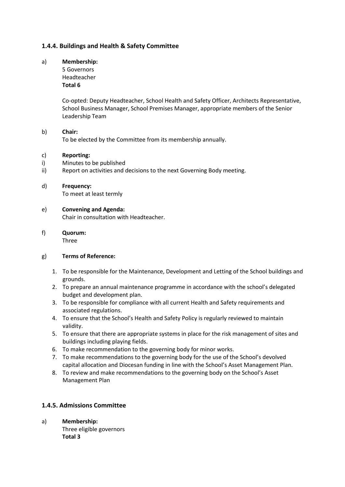# **1.4.4. Buildings and Health & Safety Committee**

#### a) **Membership:**

5 Governors Headteacher **Total 6**

Co-opted: Deputy Headteacher, School Health and Safety Officer, Architects Representative, School Business Manager, School Premises Manager, appropriate members of the Senior Leadership Team

# b) **Chair:**

To be elected by the Committee from its membership annually.

# c) **Reporting:**

- i) Minutes to be published
- ii) Report on activities and decisions to the next Governing Body meeting.
- d) **Frequency:** To meet at least termly
- e) **Convening and Agenda:** Chair in consultation with Headteacher.
- f) **Quorum:** Three

# g) **Terms of Reference:**

- 1. To be responsible for the Maintenance, Development and Letting of the School buildings and grounds.
- 2. To prepare an annual maintenance programme in accordance with the school's delegated budget and development plan.
- 3. To be responsible for compliance with all current Health and Safety requirements and associated regulations.
- 4. To ensure that the School's Health and Safety Policy is regularly reviewed to maintain validity.
- 5. To ensure that there are appropriate systems in place for the risk management of sites and buildings including playing fields.
- 6. To make recommendation to the governing body for minor works.
- 7. To make recommendations to the governing body for the use of the School's devolved capital allocation and Diocesan funding in line with the School's Asset Management Plan.
- 8. To review and make recommendations to the governing body on the School's Asset Management Plan

# **1.4.5. Admissions Committee**

a) **Membership:** Three eligible governors **Total 3**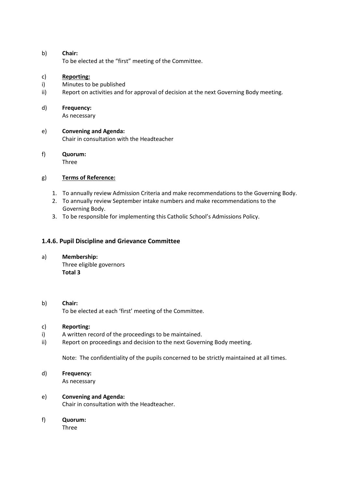#### b) **Chair:** To be elected at the "first" meeting of the Committee.

#### c) **Reporting:**

- i) Minutes to be published
- ii) Report on activities and for approval of decision at the next Governing Body meeting.

#### d) **Frequency:**

As necessary

e) **Convening and Agenda:** Chair in consultation with the Headteacher

# f) **Quorum:**

Three

# g) **Terms of Reference:**

- 1. To annually review Admission Criteria and make recommendations to the Governing Body.
- 2. To annually review September intake numbers and make recommendations to the Governing Body.
- 3. To be responsible for implementing this Catholic School's Admissions Policy.

# **1.4.6. Pupil Discipline and Grievance Committee**

a) **Membership:**

Three eligible governors **Total 3** 

#### b) **Chair:**

To be elected at each 'first' meeting of the Committee.

#### c) **Reporting:**

- i) A written record of the proceedings to be maintained.
- ii) Report on proceedings and decision to the next Governing Body meeting.

Note: The confidentiality of the pupils concerned to be strictly maintained at all times.

# d) **Frequency:**

As necessary

# e) **Convening and Agenda:**

Chair in consultation with the Headteacher.

#### f) **Quorum:**

Three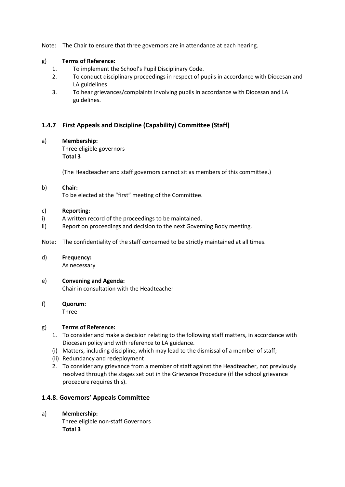Note: The Chair to ensure that three governors are in attendance at each hearing.

#### g) **Terms of Reference:**

- 1. To implement the School's Pupil Disciplinary Code.
- 2. To conduct disciplinary proceedings in respect of pupils in accordance with Diocesan and LA guidelines
- 3. To hear grievances/complaints involving pupils in accordance with Diocesan and LA guidelines.

# **1.4.7 First Appeals and Discipline (Capability) Committee (Staff)**

#### a) **Membership:**

Three eligible governors **Total 3**

(The Headteacher and staff governors cannot sit as members of this committee.)

#### b) **Chair:**

To be elected at the "first" meeting of the Committee.

#### c) **Reporting:**

- i) A written record of the proceedings to be maintained.
- ii) Report on proceedings and decision to the next Governing Body meeting.

Note: The confidentiality of the staff concerned to be strictly maintained at all times.

#### d) **Frequency:**

As necessary

#### e) **Convening and Agenda:** Chair in consultation with the Headteacher

f) **Quorum:** Three

#### g) **Terms of Reference:**

- 1. To consider and make a decision relating to the following staff matters, in accordance with Diocesan policy and with reference to LA guidance.
- (i) Matters, including discipline, which may lead to the dismissal of a member of staff;
- (ii) Redundancy and redeployment
- 2. To consider any grievance from a member of staff against the Headteacher, not previously resolved through the stages set out in the Grievance Procedure (if the school grievance procedure requires this).

#### **1.4.8. Governors' Appeals Committee**

#### a) **Membership:**

Three eligible non-staff Governors **Total 3**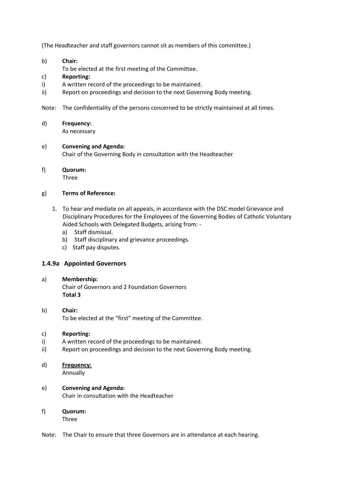(The Headteacher and staff governors cannot sit as members of this committee.)

- b) **Chair:**
- To be elected at the first meeting of the Committee.

#### c) **Reporting:**

- i) A written record of the proceedings to be maintained.
- ii) Report on proceedings and decision to the next Governing Body meeting.
- Note: The confidentiality of the persons concerned to be strictly maintained at all times.
- d) **Frequency:** As necessary

#### e) **Convening and Agenda:**

Chair of the Governing Body in consultation with the Headteacher

f) **Quorum: Three** 

#### g) **Terms of Reference:**

- 1. To hear and mediate on all appeals, in accordance with the DSC model Grievance and Disciplinary Procedures for the Employees of the Governing Bodies of Catholic Voluntary Aided Schools with Delegated Budgets, arising from:
	- a) Staff dismissal.
	- b) Staff disciplinary and grievance proceedings.
	- c) Staff pay disputes.

#### **1.4.9a Appointed Governors**

#### a) **Membership:**

Chair of Governors and 2 Foundation Governors **Total 3**

b) **Chair:** To be elected at the "first" meeting of the Committee.

#### c) **Reporting:**

- i) A written record of the proceedings to be maintained.
- ii) Report on proceedings and decision to the next Governing Body meeting.
- d) **Frequency:**
	- Annually

# e) **Convening and Agenda:**

Chair in consultation with the Headteacher

f) **Quorum:**

Three

Note: The Chair to ensure that three Governors are in attendance at each hearing.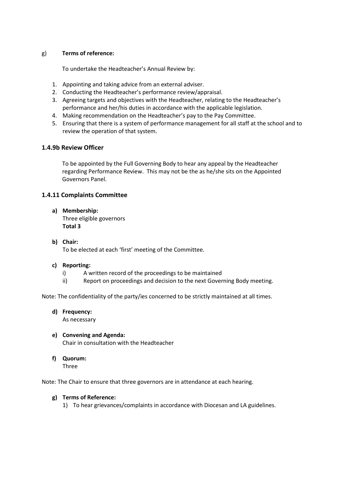#### g) **Terms of reference:**

To undertake the Headteacher's Annual Review by:

- 1. Appointing and taking advice from an external adviser.
- 2. Conducting the Headteacher's performance review/appraisal.
- 3. Agreeing targets and objectives with the Headteacher, relating to the Headteacher's performance and her/his duties in accordance with the applicable legislation.
- 4. Making recommendation on the Headteacher's pay to the Pay Committee.
- 5. Ensuring that there is a system of performance management for all staff at the school and to review the operation of that system.

#### **1.4.9b Review Officer**

To be appointed by the Full Governing Body to hear any appeal by the Headteacher regarding Performance Review. This may not be the as he/she sits on the Appointed Governors Panel.

# **1.4.11 Complaints Committee**

**a) Membership:**

Three eligible governors **Total 3**

#### **b) Chair:**

To be elected at each 'first' meeting of the Committee.

#### **c) Reporting:**

- i) A written record of the proceedings to be maintained
- ii) Report on proceedings and decision to the next Governing Body meeting.

Note: The confidentiality of the party/ies concerned to be strictly maintained at all times.

**d) Frequency:**

As necessary

- **e) Convening and Agenda:** Chair in consultation with the Headteacher
- **f) Quorum:**
	- Three

Note: The Chair to ensure that three governors are in attendance at each hearing.

#### **g) Terms of Reference:**

1) To hear grievances/complaints in accordance with Diocesan and LA guidelines.